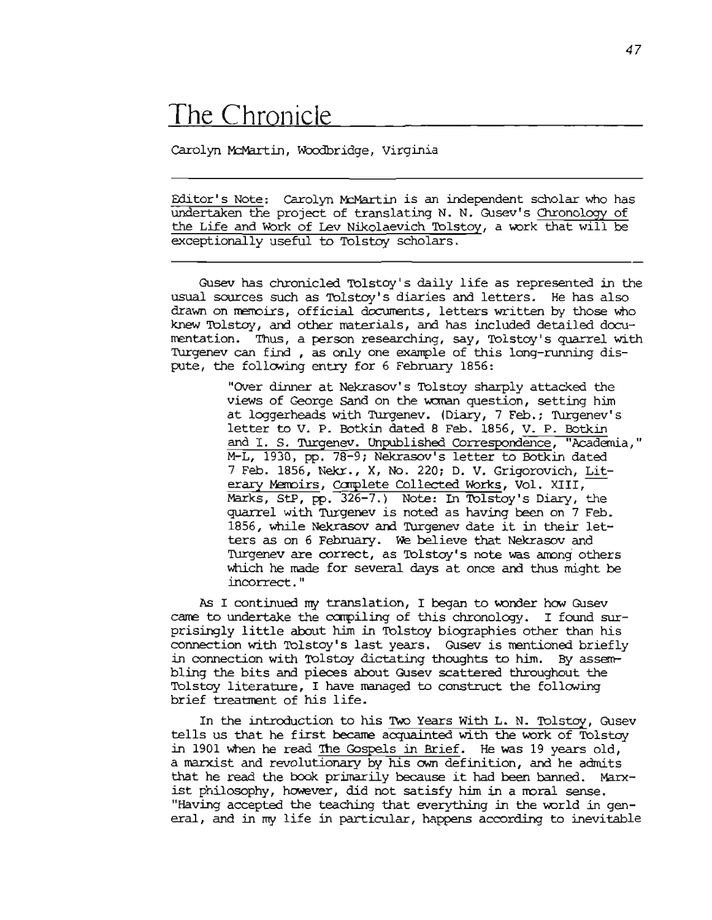# The Chronicle

Carolyn McMartin, Woodbridge, Virginia

Editor's Note: Carolyn McMartin is an independent scholar who has undertaken the project of translating N. N. Gusev's Chronology of the Life and Work of Lev Nikolaevich Tolstoy, a work that will be exceptionally useful to Tolstoy scholars.

Gusev has chronicled Tolstoy's daily life as represented in the usual sources such as Tolstoy's diaries and letters. He has also drawn on memoirs, official documents, letters written by those who knew Tolstoy, and other materials, and has included detailed documentation. Thus, a person researching, say, Tolstoy's quarrel with Turgenev can find , as only one example of this long-running dispute, the following entry for 6 February 1856:

> "Over dinner at Nekrasov's Tolstoy sharply attacked the views of George Sand on the woman question, setting him at loggerheads with Turgenev. (Diary, 7 Feb. ; Turgenev's letter to V. P. Botkin dated <sup>8</sup> Feb. 1856, V. P. Botkin and I. S. Turgenev. Unpublished Correspondence, "Academia," M-L, 1930, pp. 78-9; Nekrasov's letter to Botkin dated 7 Feb. 1856, Nekr., X, No. 220; D. V. Grigorovich, Literary Memoirs, Complete Collected Works, Vol. XIII, Marks, StP,  $pp. 326-7.$ ) Note: In Tolstoy's Diary, the quarrel with Turgenev is noted as having been on 7 Feb. 1856, while Nekrasov and Turgenev date it in their letters as on 6 February. We believe that Nekrasov and Turgenev are correct, as Tolstoy's note was among others which he made for several days at once and thus might be incorrect. "

As I continued my translation, I began to wonder how Gusev came to undertake the compiling of this chronology. I found surprisingly little about him in Tolstoy biographies other than his connection with Tolstoy's last years. Gusev is mentioned briefly in connection with Tolstoy dictating thoughts to him. By assembling the bits and pieces about Gusev scattered throughout the Tolstoy literature, I have managed to construct the following brief treatment of his life.

In the introduction to his Two Years With L. N. Tolstoy, Gusev tells us that he first became acquainted with the work of Tolstoy in 1901 when he read The Gospels in Brief. He was 19 years old, a marxist and revolutionary by his own definition, and he admits that he read the book primarily because it had been banned. Marxist philosophy, however, did not satisfy him in a moral sense. "Having accepted the teaching that everything in the world in general, and in my life in particular, happens according to inevitable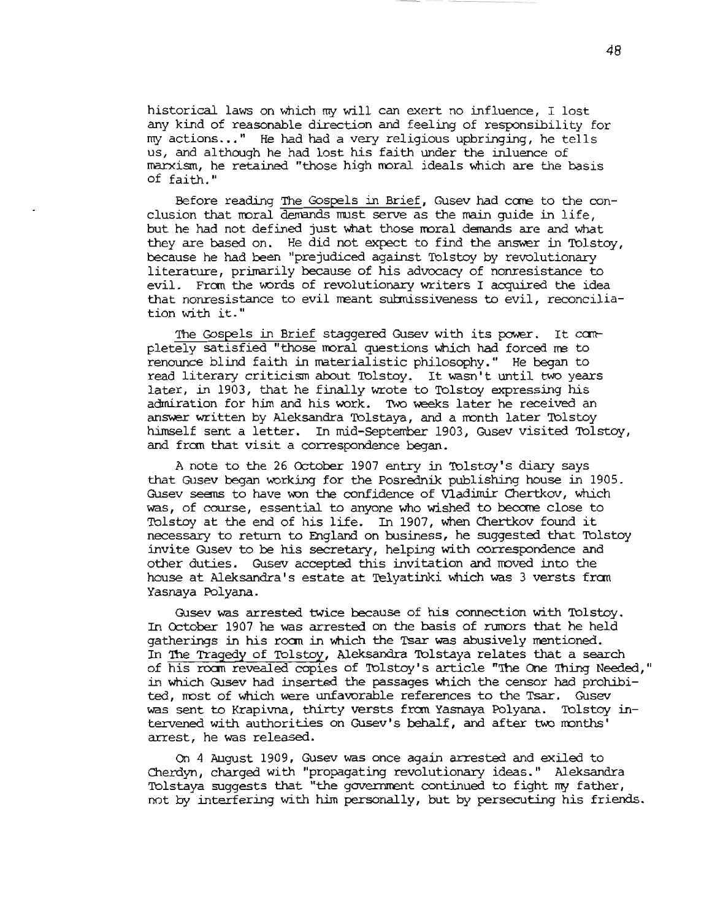historical laws on which my will can exert no influence, I lost any kind of reasonable direction and feeling of responsibility for my actions... " He had had <sup>a</sup> very religious upbringing, he tells us, and althoogh he had lost his faith under the inluence of marxism, he retained "those high rroral ideals which are the basis of faith."

Before reading The Gospels in Brief, Gusev had come to the conclusion that moral demands must serve as the main guide in life, but he had not defined just what those moral demands are and what they are based on. He did not expect to find the answer in Tolstoy, because he had been "prejudiced against Tolstoy by revolutionary literature, primarily because of his advocacy of nonresistance to evil. From the words of revolutionary writers I acquired the idea that nonresistance to evil meant submissiveness to evil, reconciliation with it."

The Gospels in Brief staggered Gusev with its power. It completely satisfied "those moral questions which had forced me to renounce blind. faith in materialistic philosophy." He began to read literary criticism about Tolstoy. It wasn't until two years later, in 1903, that he finally wrote to Tolstoy expressing his admiration for him and his work. Two weeks later he received an answer written by Aleksandra Tolstaya, and a month later Tolstoy himself sent a letter. In mid-September 1903, Gusev visited Tolstoy, and from that visit a correspondence began.

A note to the 26 October 1907 entry in Tolstoy's diary says that Gusev began working for the Posrednik publishing house in 1905. Gusev seems to have won the confidence of Vladimir Chertkov, which was, of course, essential to anyone who wished to become close to Tolstoy at the end of his life. In 1907, when Chertkov found it necessary to return to England on business, he suggested that Tolstoy invite Gusev to be *his* secretary, helping with correspondence and other duties. Gusev accepted this invitation and noved into the house at Aleksandra' <sup>s</sup> estate at 'Ielyatinki which was <sup>3</sup> versts fran Yasnaya Polyana.

Gusev was arrested twice because of his connection with 'Iblstoy. In October 1907 he was arrested on the basis of rumors that he held gatherings in his room in which the Tsar was abusively mentioned. In The Tragedy of Tolstoy, Aleksandra Tolstaya relates that a search of his room revealed copies of Tolstoy's article "The One Thing Needed." in which Gusev had inserted the passages which the censor had prohibited, nost of which were unfavorable references to the Tsar. Gusev was sent to Krapivna, thirty versts fran Yasnaya Polyana. Tolstoy intervened with authorities on Gusev's behalf, and after two months' arrest, he was released.

On 4 August 1909, Gusev was once again arrested and exiled. to Cherdyn, charged with "propagating revolutionary ideas." Aleksandra Tolstaya suggests that "the governrrent continued to fight my father, not by interfering with him personally, but by persecuting his friends.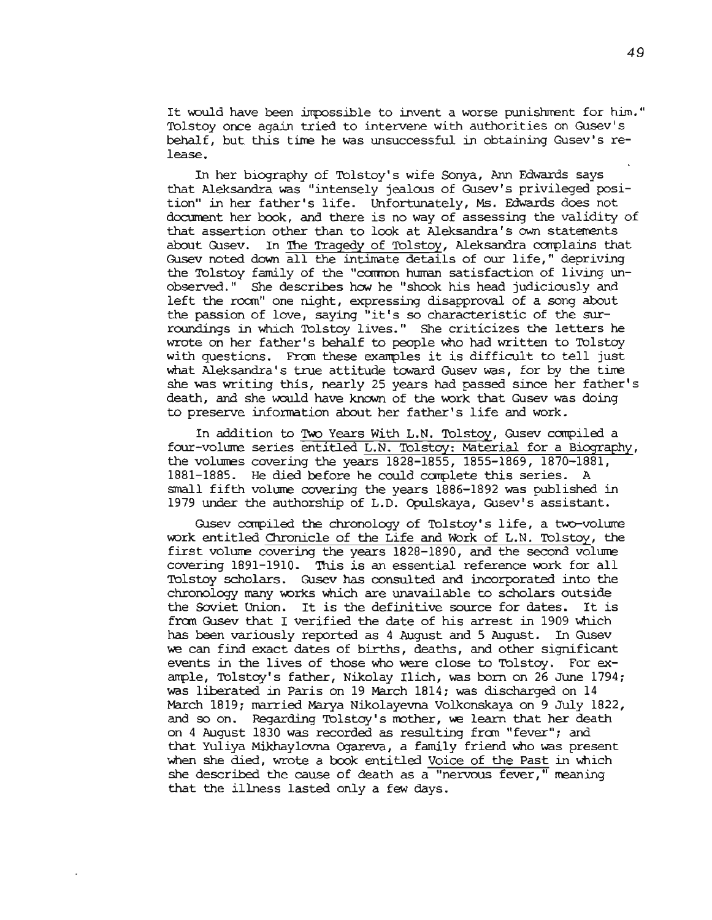It would have been impossible to invent a worse punishment for him." Tolstoy once again tried to intervene with authorities on Gusev's behalf, but this time he was unsuccessful in obtaining Gusev's  $re$ lease.

In her biography of Tolstoy's wife Sonya, Ann Edwards says that Aleksandra was "intensely jealoos of Gusev's privileged position" in her father's life. Unfortunately, Ms. Edwards does not document her book, and there is no way of assessing the validity of that assertion other than to look at Aleksandra's own statements about Gusev. In The Tragedy of Tolstoy, Aleksandra complains that Gusev noted down all the intimate details of our life," depriving the Tolstoy family of the "common human satisfaction of living unobserved." She describes how he "shook his head judiciously and left the room" one night, expressing disapproval of a song about the passion of love, saying "it's so characteristic of the surroundings in which Tolstoy lives." She criticizes the letters he wrote on her father's behalf to people who had written to Tolstoy with questions. Fran these exanples it is difficult to tell just what Aleksandra's true attitude toward Gusev was, for by the time she was writing this, nearly 25 years had passed since her father's death, and she would have known of the work that Gusev was doing to preserve information about her father's life and work.

In addition to Two Years With L.N. Tolstoy, Gusev compiled a four-volume series entitled L.N. Tolstoy: Material for a Biography, the volumes covering the years 1828-1855, 1855-1869, 1870-1881, 1881-1885. He died before he could complete this series. A small fifth volure covering the years 1886-1892 was published in 1979 under the authorship of L.D. Opulskaya, Gusev's assistant.

Gusev compiled the chronology of Tolstoy's life, a two-volume work entitled Chronicle of the Life and Work of L.N. Tolstoy, the first volume covering the years 1828-1890, and the second volume covering 1891-1910. This is an essential reference work for all Tolstoy scholars. Gusev has consulted and incorporated into the chronology many works which are unavailable to scholars outside the Soviet Union. It is the definitive source for dates. It is fran Gusev that <sup>I</sup> verified the date of his arrest in <sup>1909</sup> which has been variously reported as 4 August and 5 August. In Gusev we can find exact dates of births, deaths, and other significant events in the lives of those who were close to Tolstoy. For example, Tolstoy's father, Nikolay Ilich, was born on 26 June  $1794$ ; was liberated in Paris on 19 March 1814; was discharged on 14 March 1819; married Marya Nikolayevna Volkonskaya on 9 July 1822, and so on. Regarding Tolstoy's mother, we learn that her death on 4 August 1830 was recorded as resulting fran "fever"; and that Yuliya Mikhaylovna Ogareva, a family friend who was present when she died, wrote a book entitled Voice of the Past in which she described the cause of death as a "nervous fever," meaning that the illness lasted only a few days.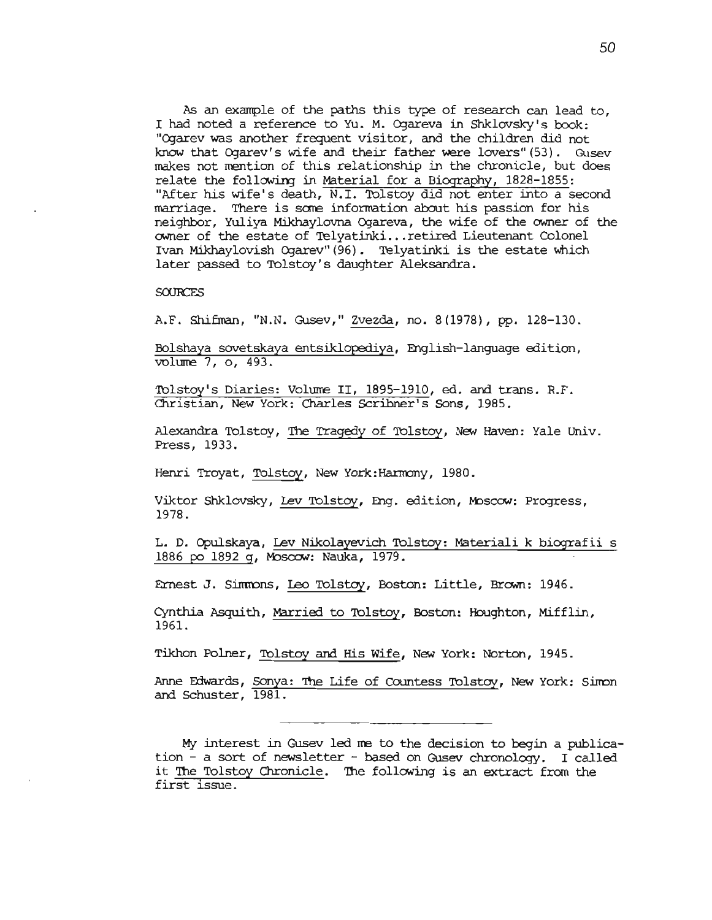As an example of the paths this type of research can lead to, I had noted a reference to Yu. M. Ogareva in Shklovsky's book: "Ogarev was another frequent visitor, and the children did not know that Ogarev's wife and their father were !overs"(53). Gusev makes not mention of this relationship in the chronicle, but does relate the following in Material for a Biography, 1828-1855: "After his wife's death, N.l. Tolstoy did not enter into a second marriage. There is some information about his passion for his neighbor, Yuliya Mikhaylovna Ogareva, the wife of the owner of the owner of the estate of Telyatinki...retired Lieutenant Colonel Ivan Mikhaylovish Ogarev" (96). Telyatinki is the estate which later passed to Tolstoy's daughter Aleksandra.

#### **SOURCES**

A.F. Shifman, "N.N. Gusev," Zvezda, no. 8(1978), pp. 128-130.

Eolshaya sovetskaya entsiklopediya, English-language edition, volume 7, 0, 493.

Tolstoy's Diaries: Volume II, 1895-1910, ed. and trans. R.F. Christian, New York: Charles scribner's Sons, 1985.

Alexandra Tolstoy, The Tragedy of Tolstoy, New Haven: Yale Univ. Press, 1933.

Henri Troyat, Tolstoy, New York: Harmony, 1980.

Viktor Shklovsky, Lev Tolstoy, Eng. edition, Moscow: Progress, 1978.

L. D. Opulskaya, Lev Nikolayevich Tolstoy: Materiali k biografii s 1886 po 1892 9, Mosoow: Nauka, 1979.

Ernest J. Simmons, Leo Tolsbqy, Boston: Little, Brown: 1946.

Cynthia Asquith, Married to Tolstoy, Boston: Houghton, Mifflin, 1961.

Tikhon Polner, Tolstoy ani His Wife, New York: Norton, 1945.

Anne Edwards, Sonya: The Life of Countess Tolstoy, New York: Simon and Schuster, 1981.

My interest in Gusev led me to the decision to begin a publication - a sort of newsletter - based on Qlsev chronology. I called it The Tolstoy Chronicle. The following is an extract from the first issue.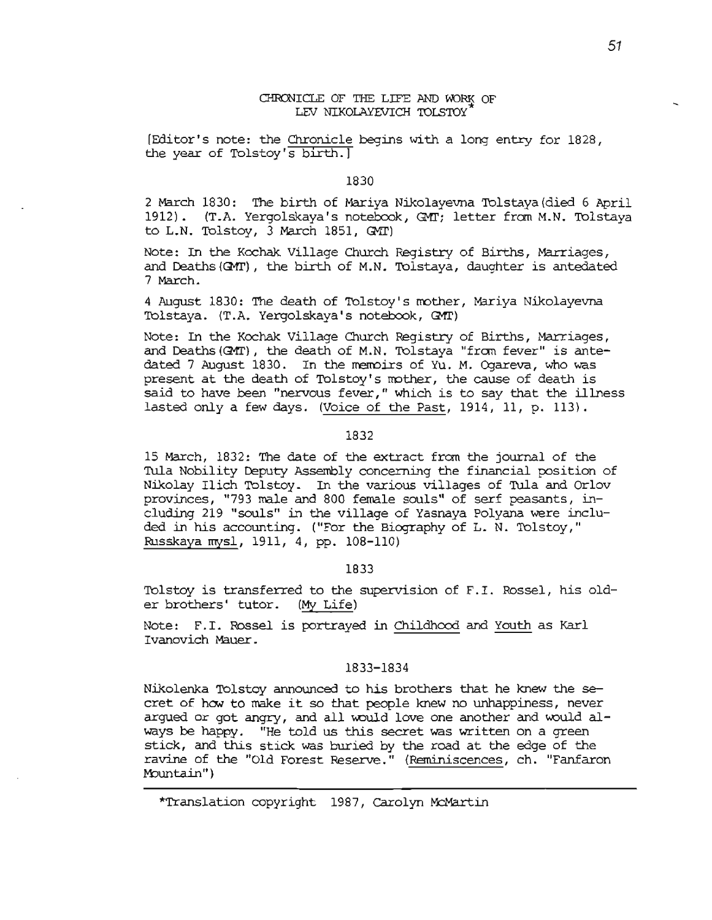# CHRONICLE OF THE LIFE AND WORK OF LEV NIKOLAYEVICH TOLSTOY

[Editor's note: the Chronicle begins W1th a long entry for 1828, the year of Tolstoy's birth.]

## 1830

2 March 1830: The birth of Mariya Nikolayevna Tolstaya (died 6 April 1912). (T.A. Yergolskaya's notebook, GMT; letter from M.N. Tolstaya to  $L.N.$  Tolstoy,  $3$  March  $1851,$  GMT)

Note: In the Kochak Village Church Registry of Births, Marriages, and Deaths (QMT), the birth of M.N. Tolstaya, daughter is antedated 7 March.

4 August 1830: The death of Tolstoy's mother, Mariya Nikolayevna Tolstaya. (T.A. Yergolskaya's notebook, GMT)

Note: In the Kochak Village Church Registry of Births, Marriages, and Deaths (Q11'), the death of M.N. Tolstaya "fran fever" is antedated 7 August 1830. In the memoirs of Yu. M. Ogareva, who was present at the death of Tolstoy's mother, the cause of death is said to have been "nervous fever," which is to say that the illness lasted only a few days. (Voice of the Past, 1914, 11, p. 113).

#### 1832

15 March, 1832: The date of the extract fran the journal of the Tula Nobility Deputy Assembly concerning the financial position of Nikolay Ilich Tolstoy. In the various villages of Tula and Orlov provinces, "793 male and 800 female souls" of serf peasants, including 219 "souls" in the village of Yasnaya Polyana were included in his accounting. ("For the Biography of L. N. Tolstoy," Russkaya mysl, 1911, 4, pp. 108-110)

## 1833

Tolstoy is transferred to the supervision of F.I. Rossel, his older brothers' tutor. (My Life)

Note: F.I. Rossel is portrayed in Childhood and Youth as Karl Ivanovich Mauer.

### 1833-1834

Nikolenka Tolstoy announced to his brothers that he knew- the secret of how to make it so that people knew no unhappiness, never argued or got angry, and all would love one another and would always be happy. "He told us this secret was written on a green stick, and this stick was buried by the road at the edge of the ravine of the "Old Forest Reserve." (Reminiscences, ch. "Fanfaron Mountain")